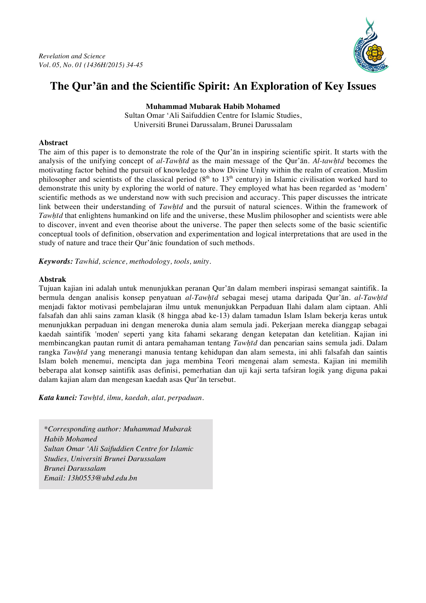

# **The Qur'ān and the Scientific Spirit: An Exploration of Key Issues**

**Muhammad Mubarak Habib Mohamed**

Sultan Omar 'Ali Saifuddien Centre for Islamic Studies, Universiti Brunei Darussalam, Brunei Darussalam

# **Abstract**

The aim of this paper is to demonstrate the role of the Qur'ān in inspiring scientific spirit. It starts with the analysis of the unifying concept of *al-Tawḥīd* as the main message of the Qur'ān. *Al-tawḥīd* becomes the motivating factor behind the pursuit of knowledge to show Divine Unity within the realm of creation. Muslim philosopher and scientists of the classical period  $(8<sup>th</sup>$  to  $13<sup>th</sup>$  century) in Islamic civilisation worked hard to demonstrate this unity by exploring the world of nature. They employed what has been regarded as 'modern' scientific methods as we understand now with such precision and accuracy. This paper discusses the intricate link between their understanding of *Tawḥīd* and the pursuit of natural sciences. Within the framework of *Tawḥīd* that enlightens humankind on life and the universe, these Muslim philosopher and scientists were able to discover, invent and even theorise about the universe. The paper then selects some of the basic scientific conceptual tools of definition, observation and experimentation and logical interpretations that are used in the study of nature and trace their Qur'ānic foundation of such methods.

*Keywords: Tawhid, science, methodology, tools, unity.*

# **Abstrak**

Tujuan kajian ini adalah untuk menunjukkan peranan Qur'ān dalam memberi inspirasi semangat saintifik. Ia bermula dengan analisis konsep penyatuan *al-Tawḥīd* sebagai mesej utama daripada Qur'ān. *al-Tawḥīd* menjadi faktor motivasi pembelajaran ilmu untuk menunjukkan Perpaduan Ilahi dalam alam ciptaan. Ahli falsafah dan ahli sains zaman klasik (8 hingga abad ke-13) dalam tamadun Islam Islam bekerja keras untuk menunjukkan perpaduan ini dengan meneroka dunia alam semula jadi. Pekerjaan mereka dianggap sebagai kaedah saintifik 'moden' seperti yang kita fahami sekarang dengan ketepatan dan ketelitian. Kajian ini membincangkan pautan rumit di antara pemahaman tentang *Tawḥīd* dan pencarian sains semula jadi. Dalam rangka *Tawḥīd* yang menerangi manusia tentang kehidupan dan alam semesta, ini ahli falsafah dan saintis Islam boleh menemui, mencipta dan juga membina Teori mengenai alam semesta. Kajian ini memilih beberapa alat konsep saintifik asas definisi, pemerhatian dan uji kaji serta tafsiran logik yang diguna pakai dalam kajian alam dan mengesan kaedah asas Qur'ān tersebut.

*Kata kunci: Tawḥīd, ilmu, kaedah, alat, perpaduan.*

*\*Corresponding author: Muhammad Mubarak Habib Mohamed Sultan Omar 'Ali Saifuddien Centre for Islamic Studies, Universiti Brunei Darussalam Brunei Darussalam Email: 13h0553@ubd.edu.bn*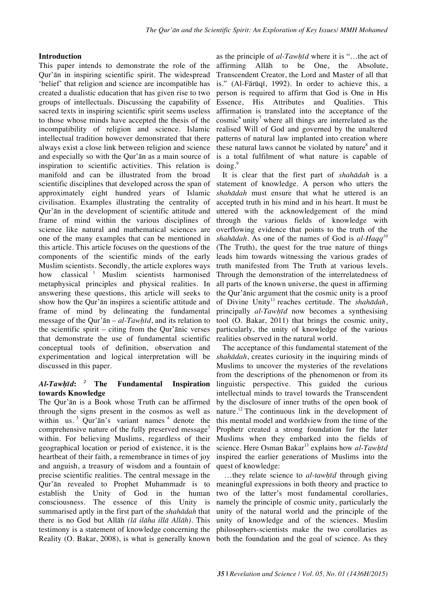### **Introduction**

This paper intends to demonstrate the role of the Qur'ān in inspiring scientific spirit. The widespread 'belief' that religion and science are incompatible has created a dualistic education that has given rise to two groups of intellectuals. Discussing the capability of sacred texts in inspiring scientific spirit seems useless to those whose minds have accepted the thesis of the incompatibility of religion and science. Islamic intellectual tradition however demonstrated that there always exist a close link between religion and science and especially so with the Qur'ān as a main source of inspiration to scientific activities. This relation is manifold and can be illustrated from the broad scientific disciplines that developed across the span of approximately eight hundred years of Islamic civilisation. Examples illustrating the centrality of Qur'ān in the development of scientific attitude and frame of mind within the various disciplines of science like natural and mathematical sciences are one of the many examples that can be mentioned in this article. This article focuses on the questions of the components of the scientific minds of the early Muslim scientists. Secondly, the article explores ways how classical<sup>1</sup> Muslim scientists harmonised metaphysical principles and physical realities. In answering these questions, this article will seeks to show how the Qur'ān inspires a scientific attitude and frame of mind by delineating the fundamental message of the Qur'ān – *al-Tawḥīd*, and its relation to the scientific spirit – citing from the Qur'ānic verses that demonstrate the use of fundamental scientific conceptual tools of definition, observation and experimentation and logical interpretation will be discussed in this paper.

### *Al-Tawḥīd***:** *<sup>2</sup>* **The Fundamental Inspiration towards Knowledge**

The Qur'ān is a Book whose Truth can be affirmed through the signs present in the cosmos as well as within us.  $3 \text{ Qur' an's variant names } 4 \text{ denote the}$ comprehensive nature of the fully preserved message<sup>5</sup> within. For believing Muslims, regardless of their geographical location or period of existence, it is the heartbeat of their faith, a remembrance in times of joy and anguish, a treasury of wisdom and a fountain of precise scientific realities. The central message in the Qur'ān revealed to Prophet Muhammadr is to establish the Unity of God in the human consciousness. The essence of this Unity is summarised aptly in the first part of the *shahādah* that there is no God but Allāh *(lā ilāha illā Allāh)*. This testimony is a statement of knowledge concerning the Reality (O. Bakar, 2008), is what is generally known

as the principle of *al-Tawḥīd* where it is "…the act of affirming Allāh to be One, the Absolute, Transcendent Creator, the Lord and Master of all that is." (Al-Fārūqī, 1992). In order to achieve this, a person is required to affirm that God is One in His Essence, His Attributes and Qualities. This affirmation is translated into the acceptance of the  $cosmic<sup>6</sup> unity<sup>7</sup> where all things are interrelated as the$ realised Will of God and governed by the unaltered patterns of natural law implanted into creation where these natural laws cannot be violated by nature $\delta$  and it is a total fulfilment of what nature is capable of  $\text{doing.}^9$ 

It is clear that the first part of *shahādah* is a statement of knowledge. A person who utters the *shahādah* must ensure that what he uttered is an accepted truth in his mind and in his heart. It must be uttered with the acknowledgement of the mind through the various fields of knowledge with overflowing evidence that points to the truth of the *shahādah*. As one of the names of God is *al-Haqq<sup>10</sup>* (The Truth), the quest for the true nature of things leads him towards witnessing the various grades of truth manifested from The Truth at various levels. Through the demonstration of the interrelatedness of all parts of the known universe, the quest in affirming the Qur'ānic argument that the cosmic unity is a proof of Divine Unity<sup>11</sup> reaches certitude. The *shahādah*, principally *al-Tawḥīd* now becomes a synthesising tool (O. Bakar, 2011) that brings the cosmic unity, particularly, the unity of knowledge of the various realities observed in the natural world.

The acceptance of this fundamental statement of the *shahādah*, creates curiosity in the inquiring minds of Muslims to uncover the mysteries of the revelations from the descriptions of the phenomenon or from its linguistic perspective. This guided the curious intellectual minds to travel towards the Transcendent by the disclosure of inner truths of the open book of nature.<sup>12</sup> The continuous link in the development of this mental model and worldview from the time of the Prophetr created a strong foundation for the later Muslims when they embarked into the fields of science. Here Osman Bakar<sup>13</sup> explains how *al-Tawhīd* inspired the earlier generations of Muslims into the quest of knowledge:

…they relate science to *al-tawḥīd* through giving meaningful expressions in both theory and practice to two of the latter's most fundamental corollaries, namely the principle of cosmic unity, particularly the unity of the natural world and the principle of the unity of knowledge and of the sciences. Muslim philosophers-scientists make the two corollaries as both the foundation and the goal of science. As they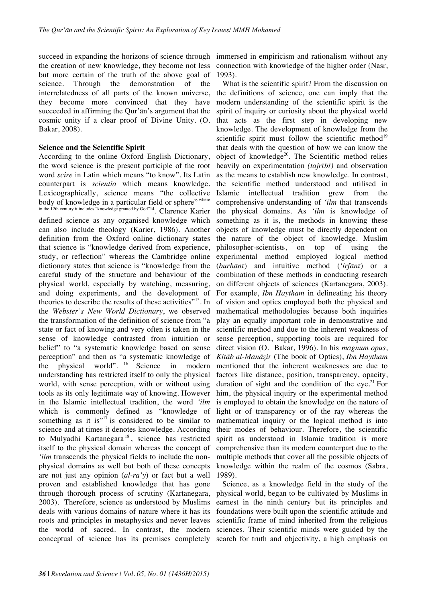succeed in expanding the horizons of science through immersed in empiricism and rationalism without any the creation of new knowledge, they become not less but more certain of the truth of the above goal of science. Through the demonstration of the interrelatedness of all parts of the known universe, they become more convinced that they have succeeded in affirming the Qur'ān's argument that the cosmic unity if a clear proof of Divine Unity. (O. Bakar, 2008).

### **Science and the Scientific Spirit**

According to the online Oxford English Dictionary, the word science is the present participle of the root word *scire* in Latin which means "to know". Its Latin counterpart is *scientia* which means knowledge. Lexicographically, science means "the collective body of knowledge in a particular field or sphere" where in the 12th century it includes "knowledge granted by God"14. Clarence Karier defined science as any organised knowledge which can also include theology (Karier, 1986). Another definition from the Oxford online dictionary states that science is "knowledge derived from experience, study, or reflection" whereas the Cambridge online dictionary states that science is "knowledge from the careful study of the structure and behaviour of the physical world, especially by watching, measuring, and doing experiments, and the development of theories to describe the results of these activities"15. In the *Webster's New World Dictionary*, we observed the transformation of the definition of science from "a state or fact of knowing and very often is taken in the sense of knowledge contrasted from intuition or belief" to "a systematic knowledge based on sense perception" and then as "a systematic knowledge of the physical world". <sup>16</sup> Science in modern understanding has restricted itself to only the physical world, with sense perception, with or without using tools as its only legitimate way of knowing. However in the Islamic intellectual tradition, the word *'ilm* which is commonly defined as "knowledge of something as it is" $17$  is considered to be similar to science and at times it denotes knowledge. According to Mulyadhi Kartanegara <sup>18</sup> , science has restricted itself to the physical domain whereas the concept of *'ilm* transcends the physical fields to include the nonphysical domains as well but both of these concepts are not just any opinion (*al-ra'y*) or fact but a well proven and established knowledge that has gone through thorough process of scrutiny (Kartanegara, 2003). Therefore, science as understood by Muslims deals with various domains of nature where it has its roots and principles in metaphysics and never leaves the world of sacred. In contrast, the modern conceptual of science has its premises completely

connection with knowledge of the higher order (Nasr, 1993).

What is the scientific spirit? From the discussion on the definitions of science, one can imply that the modern understanding of the scientific spirit is the spirit of inquiry or curiosity about the physical world that acts as the first step in developing new knowledge. The development of knowledge from the scientific spirit must follow the scientific method<sup>19</sup> that deals with the question of how we can know the object of knowledge<sup>20</sup>. The Scientific method relies heavily on experimentation *(tajrībī)* and observation as the means to establish new knowledge. In contrast, the scientific method understood and utilised in Islamic intellectual tradition grew from the comprehensive understanding of *'ilm* that transcends the physical domains. As *'ilm* is knowledge of something as it is, the methods in knowing these objects of knowledge must be directly dependent on the nature of the object of knowledge. Muslim philosopher-scientists, on top of using the experimental method employed logical method (*burhānī*) and intuitive method (*'irfānī*) or a combination of these methods in conducting research on different objects of sciences (Kartanegara, 2003). For example, *Ibn Haytham* in delineating his theory of vision and optics employed both the physical and mathematical methodologies because both inquiries play an equally important role in demonstrative and scientific method and due to the inherent weakness of sense perception, supporting tools are required for direct vision (O. Bakar, 1996). In his *magnum opus*, *Kitāb al-Manāẓir* (The book of Optics), *Ibn Haytham* mentioned that the inherent weaknesses are due to factors like distance, position, transparency, opacity, duration of sight and the condition of the eye.<sup>21</sup> For him, the physical inquiry or the experimental method is employed to obtain the knowledge on the nature of light or of transparency or of the ray whereas the mathematical inquiry or the logical method is into their modes of behaviour. Therefore, the scientific spirit as understood in Islamic tradition is more comprehensive than its modern counterpart due to the multiple methods that cover all the possible objects of knowledge within the realm of the cosmos (Sabra, 1989).

Science, as a knowledge field in the study of the physical world, began to be cultivated by Muslims in earnest in the ninth century but its principles and foundations were built upon the scientific attitude and scientific frame of mind inherited from the religious sciences. Their scientific minds were guided by the search for truth and objectivity, a high emphasis on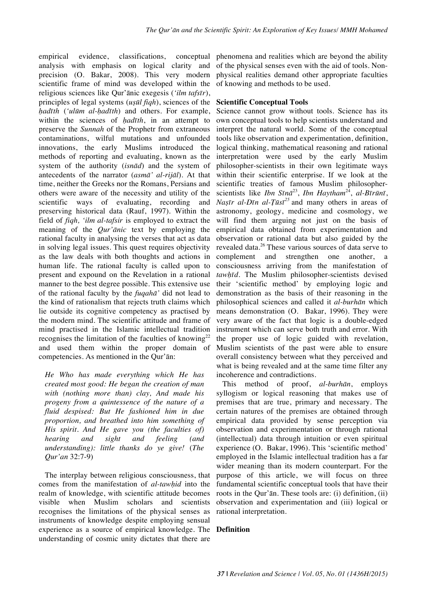empirical evidence, classifications, conceptual analysis with emphasis on logical clarity and precision (O. Bakar, 2008). This very modern scientific frame of mind was developed within the religious sciences like Qur'ānic exegesis (*'ilm tafsīr*), principles of legal systems (*uṣūl fiqh*), sciences of the *ḥadīth* (*'ulūm al-ḥadīth*) and others. For example, within the sciences of *ḥadīth*, in an attempt to preserve the *Sunnah* of the Prophetr from extraneous contaminations, wilful mutations and unfounded innovations, the early Muslims introduced the methods of reporting and evaluating, known as the system of the authority (*isnād*) and the system of antecedents of the narrator (*asmā' al-rijāl*). At that time, neither the Greeks nor the Romans, Persians and others were aware of the necessity and utility of the scientific ways of evaluating, recording and preserving historical data (Rauf, 1997). Within the field of *fiqh, 'ilm al-tafsir* is employed to extract the meaning of the *Qur'ānic* text by employing the rational faculty in analysing the verses that act as data in solving legal issues. This quest requires objectivity as the law deals with both thoughts and actions in human life. The rational faculty is called upon to present and expound on the Revelation in a rational manner to the best degree possible. This extensive use of the rational faculty by the *fuqahā'* did not lead to the kind of rationalism that rejects truth claims which lie outside its cognitive competency as practised by the modern mind. The scientific attitude and frame of mind practised in the Islamic intellectual tradition recognises the limitation of the faculties of knowing<sup>22</sup> and used them within the proper domain of competencies. As mentioned in the Qur'ān:

*He Who has made everything which He has created most good: He began the creation of man with (nothing more than) clay, And made his progeny from a quintessence of the nature of a fluid despised: But He fashioned him in due proportion, and breathed into him something of His spirit. And He gave you (the faculties of) hearing and sight and feeling (and understanding): little thanks do ye give!* (*The Qur'an* 32:7-9)

The interplay between religious consciousness, that comes from the manifestation of *al-tawḥid* into the realm of knowledge, with scientific attitude becomes visible when Muslim scholars and scientists recognises the limitations of the physical senses as instruments of knowledge despite employing sensual experience as a source of empirical knowledge. The **Definition**understanding of cosmic unity dictates that there are

phenomena and realities which are beyond the ability of the physical senses even with the aid of tools. Nonphysical realities demand other appropriate faculties of knowing and methods to be used.

### **Scientific Conceptual Tools**

Science cannot grow without tools. Science has its own conceptual tools to help scientists understand and interpret the natural world. Some of the conceptual tools like observation and experimentation, definition, logical thinking, mathematical reasoning and rational interpretation were used by the early Muslim philosopher-scientists in their own legitimate ways within their scientific enterprise. If we look at the scientific treaties of famous Muslim philosopherscientists like *Ibn Sīnā*23, *Ibn Haytham*24, *al-Bīrūnī*, *Naṣīr al-Dīn al-Ṭūsī <sup>25</sup>* and many others in areas of astronomy, geology, medicine and cosmology, we will find them arguing not just on the basis of empirical data obtained from experimentation and observation or rational data but also guided by the revealed data.<sup>26</sup> These various sources of data serve to complement and strengthen one another, a consciousness arriving from the manifestation of *tawḥīd*. The Muslim philosopher-scientists devised their 'scientific method' by employing logic and demonstration as the basis of their reasoning in the philosophical sciences and called it *al-burhān* which means demonstration (O. Bakar, 1996). They were very aware of the fact that logic is a double-edged instrument which can serve both truth and error. With the proper use of logic guided with revelation, Muslim scientists of the past were able to ensure overall consistency between what they perceived and what is being revealed and at the same time filter any incoherence and contradictions.

This method of proof, *al-burhān*, employs syllogism or logical reasoning that makes use of premises that are true, primary and necessary. The certain natures of the premises are obtained through empirical data provided by sense perception via observation and experimentation or through rational (intellectual) data through intuition or even spiritual experience (O. Bakar, 1996). This 'scientific method' employed in the Islamic intellectual tradition has a far wider meaning than its modern counterpart. For the purpose of this article, we will focus on three fundamental scientific conceptual tools that have their roots in the Qur'ān. These tools are: (i) definition, (ii) observation and experimentation and (iii) logical or rational interpretation.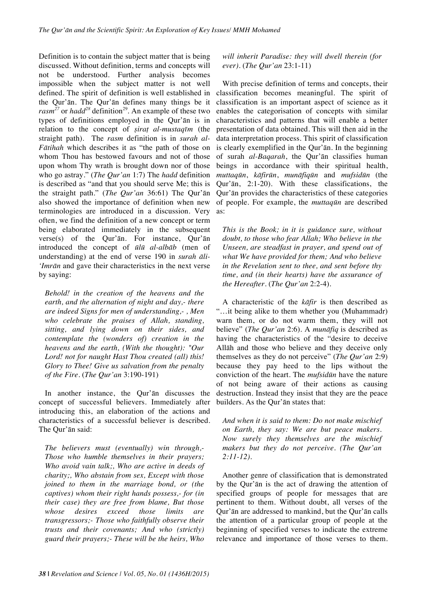Definition is to contain the subject matter that is being discussed. Without definition, terms and concepts will not be understood. Further analysis becomes impossible when the subject matter is not well defined. The spirit of definition is well established in the Qur'ān. The Qur'ān defines many things be it *rasm*<sup>27</sup> or *hadd*<sup>28</sup> definition<sup>29</sup>. An example of these two types of definitions employed in the Qur'ān is in relation to the concept of *ṣiraṭ al-mustaqīm* (the straight path). The *rasm* definition is in *surah al-Fātihah* which describes it as "the path of those on whom Thou has bestowed favours and not of those upon whom Thy wrath is brought down nor of those who go astray." (*The Qur'an* 1:7) The *hadd* definition is described as "and that you should serve Me; this is the straight path." (*The Qur'an* 36:61) The Qur'ān also showed the importance of definition when new terminologies are introduced in a discussion. Very often, we find the definition of a new concept or term being elaborated immediately in the subsequent verse(s) of the Qur'ān. For instance, Qur'ān introduced the concept of *ūlū al-albāb* (men of understanding) at the end of verse 190 in *surah āli- 'Imrān* and gave their characteristics in the next verse by saying:

*Behold! in the creation of the heavens and the earth, and the alternation of night and day,- there are indeed Signs for men of understanding,- , Men who celebrate the praises of Allah, standing, sitting, and lying down on their sides, and contemplate the (wonders of) creation in the heavens and the earth, (With the thought): "Our Lord! not for naught Hast Thou created (all) this! Glory to Thee! Give us salvation from the penalty of the Fire.* (*The Qur'an* 3:190-191)

In another instance, the Qur'ān discusses the concept of successful believers. Immediately after introducing this, an elaboration of the actions and characteristics of a successful believer is described. The Qur'ān said:

*The believers must (eventually) win through,- Those who humble themselves in their prayers; Who avoid vain talk;, Who are active in deeds of charity;, Who abstain from sex, Except with those joined to them in the marriage bond, or (the captives) whom their right hands possess,- for (in their case) they are free from blame, But those whose desires exceed those limits are transgressors;- Those who faithfully observe their trusts and their covenants; And who (strictly) guard their prayers;- These will be the heirs, Who* 

*will inherit Paradise: they will dwell therein (for ever).* (*The Qur'an* 23:1-11)

With precise definition of terms and concepts, their classification becomes meaningful. The spirit of classification is an important aspect of science as it enables the categorisation of concepts with similar characteristics and patterns that will enable a better presentation of data obtained. This will then aid in the data interpretation process. This spirit of classification is clearly exemplified in the Qur'ān. In the beginning of surah *al-Baqarah*, the Qur'ān classifies human beings in accordance with their spiritual health, *muttaqūn*, *kāfirūn*, *munāfiqūn* and *mufsidūn* (the Qur'ān, 2:1-20). With these classifications, the Qur'ān provides the characteristics of these categories of people. For example, the *muttaqūn* are described as:

*This is the Book; in it is guidance sure, without doubt, to those who fear Allah; Who believe in the Unseen, are steadfast in prayer, and spend out of what We have provided for them; And who believe in the Revelation sent to thee, and sent before thy time, and (in their hearts) have the assurance of the Hereafter.* (*The Qur'an* 2:2-4).

A characteristic of the *kāfir* is then described as "…it being alike to them whether you (Muhammadr) warn them, or do not warm them, they will not believe" (*The Qur'an* 2:6). A *munāfiq* is described as having the characteristics of the "desire to deceive Allāh and those who believe and they deceive only themselves as they do not perceive" (*The Qur'an* 2:9) because they pay heed to the lips without the conviction of the heart. The *mufsidūn* have the nature of not being aware of their actions as causing destruction. Instead they insist that they are the peace builders. As the Qur'ān states that:

*And when it is said to them: Do not make mischief on Earth, they say: We are but peace makers. Now surely they themselves are the mischief makers but they do not perceive. (The Qur'an 2:11-12).*

Another genre of classification that is demonstrated by the Qur'ān is the act of drawing the attention of specified groups of people for messages that are pertinent to them. Without doubt, all verses of the Qur'ān are addressed to mankind, but the Qur'ān calls the attention of a particular group of people at the beginning of specified verses to indicate the extreme relevance and importance of those verses to them.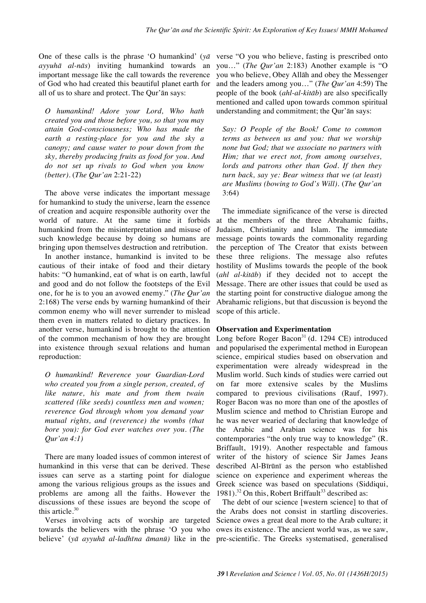One of these calls is the phrase 'O humankind' (*yā ayyuhā al-nās*) inviting humankind towards an important message like the call towards the reverence of God who had created this beautiful planet earth for all of us to share and protect. The Qur'ān says:

*O humankind! Adore your Lord, Who hath created you and those before you, so that you may attain God-consciousness; Who has made the earth a resting-place for you and the sky a canopy; and cause water to pour down from the sky, thereby producing fruits as food for you. And do not set up rivals to God when you know (better).* (*The Qur'an* 2:21-22)

The above verse indicates the important message for humankind to study the universe, learn the essence of creation and acquire responsible authority over the world of nature. At the same time it forbids humankind from the misinterpretation and misuse of such knowledge because by doing so humans are bringing upon themselves destruction and retribution.

In another instance, humankind is invited to be cautious of their intake of food and their dietary habits: "O humankind, eat of what is on earth, lawful and good and do not follow the footsteps of the Evil one, for he is to you an avowed enemy." (*The Qur'an* 2:168) The verse ends by warning humankind of their common enemy who will never surrender to mislead them even in matters related to dietary practices. In another verse, humankind is brought to the attention of the common mechanism of how they are brought into existence through sexual relations and human reproduction:

*O humankind! Reverence your Guardian-Lord who created you from a single person, created, of like nature, his mate and from them twain scattered (like seeds) countless men and women; reverence God through whom you demand your mutual rights, and (reverence) the wombs (that bore you): for God ever watches over you. (The Qur'an 4:1)*

There are many loaded issues of common interest of humankind in this verse that can be derived. These issues can serve as a starting point for dialogue among the various religious groups as the issues and problems are among all the faiths. However the discussions of these issues are beyond the scope of this article. $30$ 

Verses involving acts of worship are targeted towards the believers with the phrase 'O you who believe' (*yā ayyuhā al-ladhīna āmanū)* like in the

verse "O you who believe, fasting is prescribed onto you…" (*The Qur'an* 2:183) Another example is "O you who believe, Obey Allāh and obey the Messenger and the leaders among you…" (*The Qur'an* 4:59) The people of the book (*ahl-al-kitāb*) are also specifically mentioned and called upon towards common spiritual understanding and commitment; the Qur'ān says:

*Say: O People of the Book! Come to common terms as between us and you: that we worship none but God; that we associate no partners with Him; that we erect not, from among ourselves, lords and patrons other than God. If then they turn back, say ye: Bear witness that we (at least) are Muslims (bowing to God's Will).* (*The Qur'an* 3:64)

The immediate significance of the verse is directed at the members of the three Abrahamic faiths, Judaism, Christianity and Islam. The immediate message points towards the commonality regarding the perception of The Creator that exists between these three religions. The message also refutes hostility of Muslims towards the people of the book (*ahl al-kitāb*) if they decided not to accept the Message. There are other issues that could be used as the starting point for constructive dialogue among the Abrahamic religions, but that discussion is beyond the scope of this article.

### **Observation and Experimentation**

Long before Roger Bacon<sup>31</sup> (d. 1294 CE) introduced and popularised the experimental method in European science, empirical studies based on observation and experimentation were already widespread in the Muslim world. Such kinds of studies were carried out on far more extensive scales by the Muslims compared to previous civilisations (Rauf, 1997). Roger Bacon was no more than one of the apostles of Muslim science and method to Christian Europe and he was never wearied of declaring that knowledge of the Arabic and Arabian science was for his contemporaries "the only true way to knowledge" (R. Briffault, 1919). Another respectable and famous writer of the history of science Sir James Jeans described Al-Bīrūnī as the person who established science on experience and experiment whereas the Greek science was based on speculations (Siddiqui, 1981).<sup>32</sup> On this, Robert Briffault<sup>33</sup> described as:

The debt of our science [western science] to that of the Arabs does not consist in startling discoveries. Science owes a great deal more to the Arab culture; it owes its existence. The ancient world was, as we saw, pre-scientific. The Greeks systematised, generalised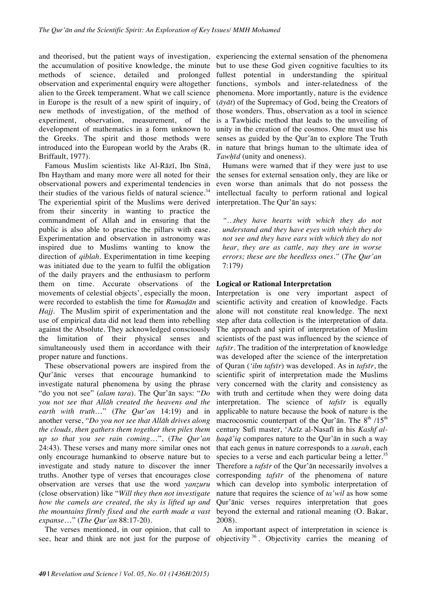and theorised, but the patient ways of investigation, experiencing the external sensation of the phenomena the accumulation of positive knowledge, the minute methods of science, detailed and prolonged observation and experimental enquiry were altogether alien to the Greek temperament. What we call science in Europe is the result of a new spirit of inquiry, of new methods of investigation, of the method of experiment, observation, measurement, of the development of mathematics in a form unknown to the Greeks. The spirit and those methods were introduced into the European world by the Arabs (R. Briffault, 1977).

Famous Muslim scientists like Al-Rāzī, Ibn Sīnā, Ibn Haytham and many more were all noted for their observational powers and experimental tendencies in their studies of the various fields of natural science.<sup>34</sup> The experiential spirit of the Muslims were derived from their sincerity in wanting to practice the commandment of Allah and in ensuring that the public is also able to practice the pillars with ease. Experimentation and observation in astronomy was inspired due to Muslims wanting to know the direction of *qiblah*. Experimentation in time keeping was initiated due to the yearn to fulfil the obligation of the daily prayers and the enthusiasm to perform them on time. Accurate observations of the movements of celestial objects', especially the moon, were recorded to establish the time for *Ramaḍān* and *Hajj*. The Muslim spirit of experimentation and the use of empirical data did not lead them into rebelling against the Absolute. They acknowledged consciously the limitation of their physical senses and simultaneously used them in accordance with their proper nature and functions.

These observational powers are inspired from the Qur'ānic verses that encourage humankind to investigate natural phenomena by using the phrase "do you not see" (*alam tara*). The Qur'ān says: "*Do you not see that Allāh created the heavens and the earth with truth*…" (*The Qur'an* 14:19) and in another verse, "*Do you not see that Allāh drives along the clouds, then gathers them together then piles them up so that you see rain coming*…", (*The Qur'an* 24:43). These verses and many more similar ones not only encourage humankind to observe nature but to investigate and study nature to discover the inner truths. Another type of verses that encourages close observation are verses that use the word *yanẓuru* (close observation) like "*Will they then not investigate how the camels are created, the sky is lifted up and the mountains firmly fixed and the earth made a vast expanse*…" (*The Qur'an* 88:17-20).

The verses mentioned, in our opinion, that call to

but to use these God given cognitive faculties to its fullest potential in understanding the spiritual functions, symbols and inter-relatedness of the phenomena. More importantly, nature is the evidence (*āyāt*) of the Supremacy of God, being the Creators of those wonders. Thus, observation as a tool in science is a Tawhidic method that leads to the unveiling of unity in the creation of the cosmos. One must use his senses as guided by the Qur'ān to explore The Truth in nature that brings human to the ultimate idea of *Tawḥīd* (unity and oneness).

Humans were warned that if they were just to use the senses for external sensation only, they are like or even worse than animals that do not possess the intellectual faculty to perform rational and logical interpretation. The Qur'ān says:

*"…they have hearts with which they do not understand and they have eyes with which they do not see and they have ears with which they do not hear, they are as cattle, nay they are in worse errors; these are the heedless ones."* (*The Qur'an*  7:179*)* 

### **Logical or Rational Interpretation**

Interpretation is one very important aspect of scientific activity and creation of knowledge. Facts alone will not constitute real knowledge. The next step after data collection is the interpretation of data. The approach and spirit of interpretation of Muslim scientists of the past was influenced by the science of *tafsīr*. The tradition of the interpretation of knowledge was developed after the science of the interpretation of Quran (*'ilm tafsīr*) was developed. As in *tafsīr*, the scientific spirit of interpretation made the Muslims very concerned with the clarity and consistency as with truth and certitude when they were doing data interpretation. The science of *tafsīr* is equally applicable to nature because the book of nature is the macrocosmic counterpart of the Qur'ān. The  $8<sup>th</sup> / 15<sup>th</sup>$ century Sufi master, 'Azīz al-Nasafī in his *Kashf alḥaqā'iq* compares nature to the Qur'ān in such a way that each genus in nature corresponds to a *surah*, each species to a verse and each particular being a letter. $35$ Therefore a *tafsīr* of the Qur'ān necessarily involves a corresponding *tafsīr* of the phenomena of nature which can develop into symbolic interpretation of nature that requires the science of *ta'wil* as how some Qur'ānic verses requires interpretation that goes beyond the external and rational meaning (O. Bakar, 2008).

see, hear and think are not just for the purpose of objectivity<sup>36</sup>. Objectivity carries the meaning of An important aspect of interpretation in science is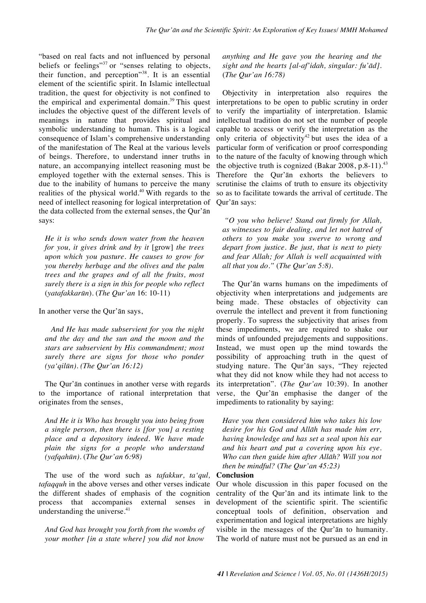"based on real facts and not influenced by personal beliefs or feelings"<sup>37</sup> or "senses relating to objects, their function, and perception"38. It is an essential element of the scientific spirit. In Islamic intellectual tradition, the quest for objectivity is not confined to the empirical and experimental domain. $39$  This quest includes the objective quest of the different levels of meanings in nature that provides spiritual and symbolic understanding to human. This is a logical consequence of Islam's comprehensive understanding of the manifestation of The Real at the various levels of beings. Therefore, to understand inner truths in nature, an accompanying intellect reasoning must be employed together with the external senses. This is due to the inability of humans to perceive the many realities of the physical world.40 With regards to the need of intellect reasoning for logical interpretation of the data collected from the external senses, the Qur'ān says:

*He it is who sends down water from the heaven for you, it gives drink and by it* [grow] *the trees upon which you pasture. He causes to grow for you thereby herbage and the olives and the palm trees and the grapes and of all the fruits, most surely there is a sign in this for people who reflect*  (*yatafakkarūn*)*.* (*The Qur'an* 16: 10-11)

In another verse the Qur'ān says,

*And He has made subservient for you the night and the day and the sun and the moon and the stars are subservient by His commandment; most surely there are signs for those who ponder (ya'qilūn). (The Qur'an 16:12)*

The Qur'ān continues in another verse with regards to the importance of rational interpretation that originates from the senses,

*And He it is Who has brought you into being from a single person, then there is [for you] a resting place and a depository indeed. We have made plain the signs for a people who understand (yafqahūn).* (*The Qur'an 6:98)*

The use of the word such as *tafakkur, ta'qul, tafaqquh* in the above verses and other verses indicate the different shades of emphasis of the cognition process that accompanies external senses in understanding the universe. $41$ 

*And God has brought you forth from the wombs of your mother [in a state where] you did not know* 

*anything and He gave you the hearing and the sight and the hearts [al-af'idah, singular: fu'ād].*  (*The Qur'an 16:78)*

Objectivity in interpretation also requires the interpretations to be open to public scrutiny in order to verify the impartiality of interpretation. Islamic intellectual tradition do not set the number of people capable to access or verify the interpretation as the only criteria of objectivity<sup>42</sup> but uses the idea of a particular form of verification or proof corresponding to the nature of the faculty of knowing through which the objective truth is cognized (Bakar 2008, p.8-11). $^{43}$ Therefore the Qur'ān exhorts the believers to scrutinise the claims of truth to ensure its objectivity so as to facilitate towards the arrival of certitude. The Qur'ān says:

*"O you who believe! Stand out firmly for Allah, as witnesses to fair dealing, and let not hatred of others to you make you swerve to wrong and depart from justice. Be just, that is next to piety and fear Allah; for Allah is well acquainted with all that you do."* (*The Qur'an 5:8).*

The Qur'ān warns humans on the impediments of objectivity when interpretations and judgements are being made. These obstacles of objectivity can overrule the intellect and prevent it from functioning properly. To supress the subjectivity that arises from these impediments, we are required to shake our minds of unfounded prejudgements and suppositions. Instead, we must open up the mind towards the possibility of approaching truth in the quest of studying nature. The Qur'ān says, "They rejected what they did not know while they had not access to its interpretation". (*The Qur'an* 10:39). In another verse, the Qur'ān emphasise the danger of the impediments to rationality by saying:

*Have you then considered him who takes his low desire for his God and Allāh has made him err, having knowledge and has set a seal upon his ear and his heart and put a covering upon his eye. Who can then guide him after Allāh? Will you not then be mindful?* (*The Qur'an 45:23)*

### **Conclusion**

Our whole discussion in this paper focused on the centrality of the Qur'ān and its intimate link to the development of the scientific spirit. The scientific conceptual tools of definition, observation and experimentation and logical interpretations are highly visible in the messages of the Qur'ān to humanity. The world of nature must not be pursued as an end in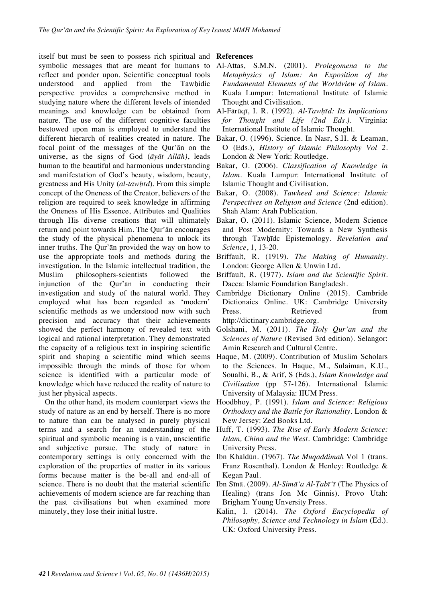itself but must be seen to possess rich spiritual and symbolic messages that are meant for humans to reflect and ponder upon. Scientific conceptual tools understood and applied from the Tawhidic perspective provides a comprehensive method in studying nature where the different levels of intended meanings and knowledge can be obtained from nature. The use of the different cognitive faculties bestowed upon man is employed to understand the different hierarch of realities created in nature. The focal point of the messages of the Qur'ān on the universe, as the signs of God (*āyāt Allāh)*, leads human to the beautiful and harmonious understanding and manifestation of God's beauty, wisdom, beauty, greatness and His Unity (*al-tawḥīd*). From this simple concept of the Oneness of the Creator, believers of the religion are required to seek knowledge in affirming the Oneness of His Essence, Attributes and Qualities through His diverse creations that will ultimately return and point towards Him. The Qur'ān encourages the study of the physical phenomena to unlock its inner truths. The Qur'ān provided the way on how to use the appropriate tools and methods during the investigation. In the Islamic intellectual tradition, the Muslim philosophers-scientists followed the injunction of the Qur'ān in conducting their investigation and study of the natural world. They employed what has been regarded as 'modern' scientific methods as we understood now with such precision and accuracy that their achievements showed the perfect harmony of revealed text with logical and rational interpretation. They demonstrated the capacity of a religious text in inspiring scientific spirit and shaping a scientific mind which seems impossible through the minds of those for whom science is identified with a particular mode of knowledge which have reduced the reality of nature to just her physical aspects.

On the other hand, its modern counterpart views the study of nature as an end by herself. There is no more to nature than can be analysed in purely physical terms and a search for an understanding of the spiritual and symbolic meaning is a vain, unscientific and subjective pursue. The study of nature in contemporary settings is only concerned with the exploration of the properties of matter in its various forms because matter is the be-all and end-all of science. There is no doubt that the material scientific achievements of modern science are far reaching than the past civilisations but when examined more minutely, they lose their initial lustre.

### **References**

- Al-Attas, S.M.N. (2001). *Prolegomena to the Metaphysics of Islam: An Exposition of the Fundamental Elements of the Worldview of Islam.* Kuala Lumpur: International Institute of Islamic Thought and Civilisation.
- Al-Fārūqī, I. R. (1992). *Al-Tawḥīd: Its Implications for Thought and Life (2nd Eds.).* Virginia: International Institute of Islamic Thought.
- Bakar, O. (1996). Science. In Nasr, S.H. & Leaman, O (Eds.), *History of Islamic Philosophy Vol 2*. London & New York: Routledge.
- Bakar, O. (2006). *Classification of Knowledge in Islam*. Kuala Lumpur: International Institute of Islamic Thought and Civilisation.
- Bakar, O. (2008). *Tawheed and Science: Islamic Perspectives on Religion and Science* (2nd edition)*.* Shah Alam: Arah Publication.
- Bakar, O. (2011). Islamic Science, Modern Science and Post Modernity: Towards a New Synthesis through Tawḥīdc Epistemology. *Revelation and Science*, 1, 13-20.
- Briffault, R. (1919). *The Making of Humanity.* London: George Allen & Unwin Ltd.
- Briffault, R. (1977). *Islam and the Scientific Spirit.* Dacca: Islamic Foundation Bangladesh.
- Cambridge Dictionary Online (2015). Cambride Dictionaies Online. UK: Cambridge University Press. Retrieved from http://dictinary.cambridge.org.
- Golshani, M. (2011). *The Holy Qur'an and the Sciences of Nature* (Revised 3rd edition). Selangor: Amin Research and Cultural Centre.
- Haque, M. (2009). Contribution of Muslim Scholars to the Sciences. In Haque, M., Sulaiman, K.U., Soualhi, B., & Arif, S (Eds.), *Islam Knowledge and Civilisation* (pp 57-126). International Islamic University of Malaysia: IIUM Press.
- Hoodbhoy, P. (1991). *Islam and Science: Religious Orthodoxy and the Battle for Rationality*. London & New Jersey: Zed Books Ltd.
- Huff, T. (1993). *The Rise of Early Modern Science: Islam, China and the West*. Cambridge: Cambridge University Press.
- Ibn Khaldūn. (1967). *The Muqaddimah* Vol 1 (trans. Franz Rosenthal). London & Henley: Routledge & Kegan Paul.
- Ibn Sīnā. (2009). *Al-Simā'a Al-Ṭabī'ī* (The Physics of Healing) (trans Jon Mc Ginnis). Provo Utah: Brigham Young Unversity Press.
- Kalin, I. (2014). *The Oxford Encyclopedia of Philosophy, Science and Technology in Islam* (Ed.). UK: Oxford University Press.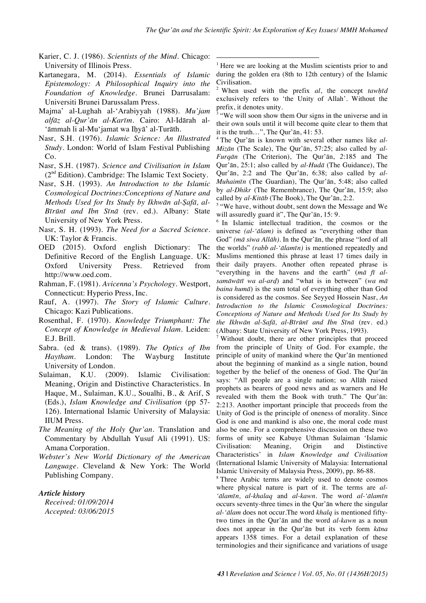!!!!!!!!!!!!!!!!!!!!!!!!!!!!!!!!!!!!!!!!!!!!!!!!!!!!!!!!!!!!

- Karier, C. J. (1986). *Scientists of the Mind.* Chicago: University of Illinois Press.
- Kartanegara, M. (2014). *Essentials of Islamic Epistemology: A Philosophical Inquiry into the Foundation of Knowledge.* Brunei Darrusalam: Universiti Brunei Darussalam Press.
- Majma' al-Lughah al-'Arabiyyah (1988). *Mu'jam alfāz al-Qur'ān al-Karīm*. Cairo: Al-Idārah al- 'āmmah li al-Mu'jamat wa Ihyā' al-Turāth.
- Nasr, S.H. (1976). *Islamic Science: An Illustrated Study.* London: World of Islam Festival Publishing  $Co$
- Nasr, S.H. (1987). *Science and Civilisation in Islam*  $(2<sup>nd</sup> Edition)$ . Cambridge: The Islamic Text Society.
- Nasr, S.H. (1993). *An Introduction to the Islamic Cosmological Doctrines:Conceptions of Nature and Methods Used for Its Study by Ikhwān al-Ṣafā, al-Bīrūnī and Ibn Sīnā* (rev. ed.). Albany: State University of New York Press.
- Nasr, S. H. (1993). *The Need for a Sacred Science.* UK: Taylor & Francis.
- OED (2015). Oxford english Dictionary: The Definitive Record of the English Language. UK: Oxford University Press. Retrieved from http://www.oed.com.
- Rahman, F. (1981). *Avicenna's Psychology.* Westport, Connecticut: Hyperio Press, Inc.
- Rauf, A. (1997). *The Story of Islamic Culture.* Chicago: Kazi Publications.
- Rosenthal, F. (1970). *Knowledge Triumphant: The Concept of Knowledge in Medieval Islam.* Leiden: E.J. Brill.
- Sabra. (ed & trans). (1989). *The Optics of Ibn Haytham.* London: The Wayburg Institute University of London.
- Sulaiman, K.U. (2009). Islamic Civilisation: Meaning, Origin and Distinctive Characteristics. In Haque, M., Sulaiman, K.U., Soualhi, B., & Arif, S (Eds.), *Islam Knowledge and Civilisation* (pp 57- 126). International Islamic University of Malaysia: IIUM Press.
- *The Meaning of the Holy Qur'an*. Translation and Commentary by Abdullah Yusuf Ali (1991). US: Amana Corporation.
- *Webster's New World Dictionary of the American Language*. Cleveland & New York: The World Publishing Company.

### *Article history*

*Received: 01/09/2014 Accepted: 03/06/2015*

Here we are looking at the Muslim scientists prior to and during the golden era (8th to 12th century) of the Islamic Civilisation.

<sup>2</sup> When used with the prefix *al*, the concept *tawḥīd* exclusively refers to 'the Unity of Allah'. Without the prefix, it denotes unity.<br><sup>3</sup> "We will soon show them Our signs in the universe and in

their own souls until it will become quite clear to them that it is the truth…", The Qur'ān, 41: 53.

<sup>4</sup> The Qur'ān is known with several other names like *al-Mizān* (The Scale), The Qur'ān, 57:25; also called by *al-Furqān* (The Criterion), The Qur'ān, *2*:185 and The Qur'ān, 25:1; also called by *al-Hudā* (The Guidance), The Qur'ān, 2:2 and The Qur'ān, 6:38; also called by *al-Muhaimīn* (The Guardian), The Qur'ān, 5:48; also called by *al-Dhikr* (The Remembrance), The Qur'ān, 15:9; also

called by *al-Kitāb* (The Book), The Qur'ān, 2:2.<br><sup>5</sup> "We have, without doubt, sent down the Message and We will assuredly guard it", The Qur'ān, 15: 9.

<sup>6</sup> In Islamic intellectual tradition, the cosmos or the universe *(al-'ālam)* is defined as "everything other than God" *(mā siwa Allāh)*. In the Qur'ān, the phrase "lord of all the worlds" *(rabb al-'ālamīn)* is mentioned repeatedly and Muslims mentioned this phrase at least 17 times daily in their daily prayers. Another often repeated phrase is "everything in the havens and the earth" (*mā fī alsamāwātī wa al-arḍ*) and "what is in between" (*wa mā baina humā*) is the sum total of everything other than God is considered as the cosmos. See Seyyed Hossein Nasr, *An Introduction to the Islamic Cosmological Doctrines: Conceptions of Nature and Methods Used for Its Study by the Ikhwān al-Safā, al-Bīrūnī and Ibn Sīnā* (rev. ed.) (Albany: State University of New York Press, 1993).

Without doubt, there are other principles that proceed from the principle of Unity of God. For example, the principle of unity of mankind where the Qur'ān mentioned about the beginning of mankind as a single nation, bound together by the belief of the oneness of God. The Qur'ān says: "All people are a single nation; so Allāh raised prophets as bearers of good news and as warners and He revealed with them the Book with truth." The Qur'ān: 2:213. Another important principle that proceeds from the Unity of God is the principle of oneness of morality. Since God is one and mankind is also one, the moral code must also be one. For a comprehensive discussion on these two forms of unity see Kabuye Uthman Sulaiman 'Islamic Civilisation: Meaning, Origin and Distinctive Characteristics' in *Islam Knowledge and Civilisation* (International Islamic University of Malaysia: International Islamic University of Malaysia Press, 2009), pp. 86-88. 8 Three Arabic terms are widely used to denote cosmos

where physical nature is part of it. The terms are *al- 'ālamīn, al-khalaq* and *al-kawn*. The word *al-'ālamīn* occurs seventy-three times in the Qur'ān where the singular *al-'ālam* does not occur.The word *khalq* is mentioned fiftytwo times in the Qur'ān and the word *al-kawn* as a noun does not appear in the Qur'ān but its verb form *kāna* appears 1358 times. For a detail explanation of these terminologies and their significance and variations of usage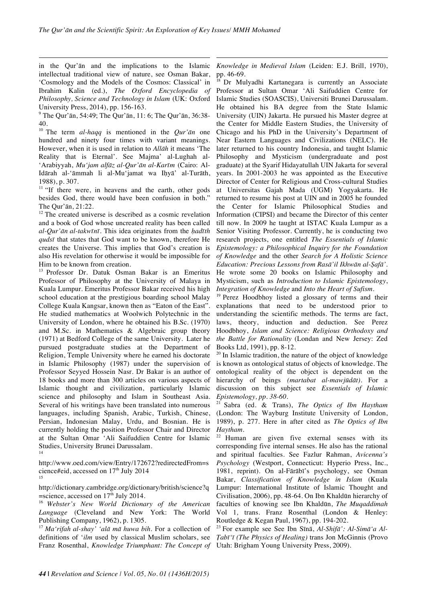in the Qur'ān and the implications to the Islamic intellectual traditional view of nature, see Osman Bakar, 'Cosmology and the Models of the Cosmos: Classical' in Ibrahim Kalin (ed.), *The Oxford Encyclopedia of Philosophy, Science and Technology in Islam* (UK: Oxford University Press, 2014), pp. 156-163.<br><sup>9</sup> The Qur'ān, 54:49; The Qur'ān, 11: 6; The Qur'ān, 36:38-

!!!!!!!!!!!!!!!!!!!!!!!!!!!!!!!!!!!!!!!!!!!!!!!!!!!!!!!!!!!!!!!!!!!!!!!!!!!!!!!!!!!!!!!!!!!!!!!!!!!!

40.

<sup>10</sup> The term *al-haqq* is mentioned in the *Qur'ān* one hundred and ninety four times with variant meanings. However, when it is used in relation to *Allāh* it means 'The Reality that is Eternal'. See Majma' al-Lughah al- 'Arabiyyah, *Mu'jam alfāz al-Qur'ān al-Karīm* (Cairo: Al-Idārah al-'āmmah li al-Mu'jamat wa Iḥyā' al-Turāth, 1988), p. 307.

<sup>11</sup> "If there were, in heavens and the earth, other gods besides God, there would have been confusion in both." The Qur'ān, 21:22.

 $12$  The created universe is described as a cosmic revelation and a book of God whose uncreated reality has been called *al-Qur'ān al-takwīnī*. This idea originates from the *ḥadīth qudsī* that states that God want to be known, therefore He creates the Universe. This implies that God's creation is also His revelation for otherwise it would be impossible for Him to be known from creation.

<sup>13</sup> Professor Dr. Datuk Osman Bakar is an Emeritus Professor of Philosophy at the University of Malaya in Kuala Lumpur. Emeritus Professor Bakar received his high school education at the prestigious boarding school Malay College Kuala Kangsar, known then as "Eaton of the East". He studied mathematics at Woolwich Polytechnic in the University of London, where he obtained his B.Sc. (1970) and M.Sc. in Mathematics & Algebraic group theory (1971) at Bedford College of the same University. Later he pursued postgraduate studies at the Department of Religion, Temple University where he earned his doctorate in Islamic Philosophy (1987) under the supervision of Professor Seyyed Hossein Nasr. Dr Bakar is an author of 18 books and more than 300 articles on various aspects of Islamic thought and civilization, particularly Islamic science and philosophy and Islam in Southeast Asia. Several of his writings have been translated into numerous languages, including Spanish, Arabic, Turkish, Chinese, Persian, Indonesian Malay, Urdu, and Bosnian. He is currently holding the position Professor Chair and Director at the Sultan Omar 'Ali Saifuddien Centre for Islamic Studies, University Brunei Darussalam. 14

http://www.oed.com/view/Entry/172672?redirectedFrom=s cience#eid, accessed on 17<sup>th</sup> July 2014 15

http://dictionary.cambridge.org/dictionary/british/science?q  $=$ science, accessed on  $17<sup>th</sup>$  July 2014.

<sup>16</sup> *Webster's New World Dictionary of the American Language* (Cleveland and New York: The World Publishing Company, 1962), p. 1305.

<sup>17</sup> *Ma'rifah al-shay' 'alā mā huwa bih*. For a collection of definitions of '*ilm* used by classical Muslim scholars, see Franz Rosenthal, *Knowledge Triumphant: The Concept of* 

!!!!!!!!!!!!!!!!!!!!!!!!!!!!!!!!!!!!!!!!!!!!!!!!!!!!!!!!!!!!!!!!!!!!!!!!!!!!!!!!!!!!!!!!!!!!!!!!!!!! *Knowledge in Medieval Islam* (Leiden: E.J. Brill, 1970), pp. 46-69.<br><sup>18</sup> Dr Mulyadhi Kartanegara is currently an Associate

Professor at Sultan Omar 'Ali Saifuddien Centre for Islamic Studies (SOASCIS), Universiti Brunei Darussalam. He obtained his BA degree from the State Islamic University (UIN) Jakarta. He pursued his Master degree at the Center for Middle Eastern Studies, the University of Chicago and his PhD in the University's Department of Near Eastern Languages and Civilizations (NELC). He later returned to his country Indonesia, and taught Islamic Philosophy and Mysticism (undergraduate and post graduate) at the Syarif Hidayatullah UIN Jakarta for several years. In 2001-2003 he was appointed as the Executive Director of Center for Religious and Cross-cultural Studies at Universitas Gajah Mada (UGM) Yogyakarta. He returned to resume his post at UIN and in 2005 he founded the Center for Islamic Philosophical Studies and Information (CIPSI) and became the Director of this center till now. In 2009 he taught at ISTAC Kuala Lumpur as a Senior Visiting Professor. Currently, he is conducting two research projects, one entitled *The Essentials of Islamic Epistemology: a Philosophical Inquiry for the Foundation of Knowledge* and the other *Search for A Holistic Science Education: Precious Lessons from Rasā'il Ikhwān al-Ṣafā'*. He wrote some 20 books on Islamic Philosophy and Mysticism, such as *Introduction to Islamic Epistemology*, *Integration of Knowledge* and *Into the Heart of Sufism*.

<sup>19</sup> Perez Hoodbhoy listed a glossary of terms and their explanations that need to be understood prior to understanding the scientific methods. The terms are fact, laws, theory, induction and deduction. See Perez Hoodbhoy, *Islam and Science: Religious Orthodoxy and the Battle for Rationality* (Londan and New Jersey: Zed Books Ltd, 1991), pp. 8-12.<br><sup>20</sup> In Islamic tradition, the nature of the object of knowledge

is known as ontological status of objects of knowledge. The ontological reality of the object is dependent on the hierarchy of beings *(martabat al-mawjūdāt).* For a discussion on this subject see *Essentials of Islamic Epistemology, pp. 38-60.*

<sup>21</sup> Sabra (ed. & Trans), *The Optics of Ibn Haytham*  (London: The Wayburg Institute University of London, 1989), p. 277. Here in after cited as *The Optics of Ibn Haytham*.

 $22$  Human are given five external senses with its corresponding five internal senses. He also has the rational and spiritual faculties. See Fazlur Rahman, *Avicenna's Psychology* (Westport, Connecticut: Hyperio Press, Inc., 1981, reprint). On al-Fārābī's psychology, see Osman Bakar, *Classification of Knowledge in Islam* (Kuala Lumpur: International Institute of Islamic Thought and Civilisation, 2006), pp. 48-64. On Ibn Khaldūn hierarchy of faculties of knowing see Ibn Khaldūn, *The Muqaddimah* Vol 1*,* trans. Franz Rosenthal (London & Henley: Routledge & Kegan Paul, 1967), pp. 194-202.

<sup>23</sup> For example see See Ibn Sīnā, *Al-Shifā': Al-Simā'a Al-Ṭabī'ī (The Physics of Healing)* trans Jon McGinnis (Provo Utah: Brigham Young University Press, 2009).